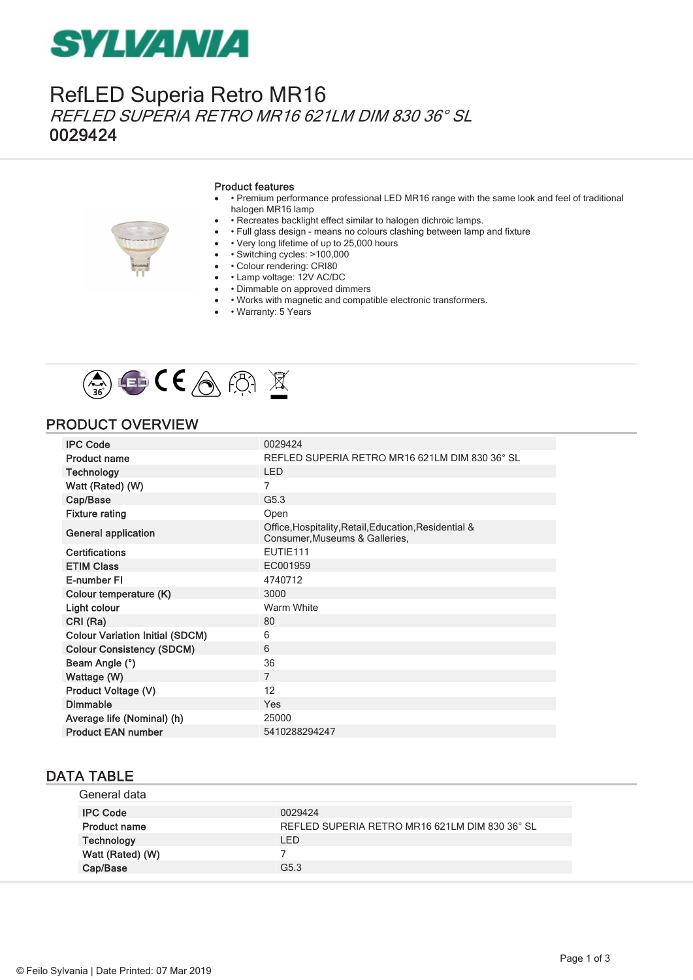## **SYLVANIA**

### RefLED Superia Retro MR16 REFLED SUPERIA RETRO MR16 621LM DIM 830 36° SL 0029424

#### Product features

- · Premium performance professional LED MR16 range with the same look and feel of traditional halogen MR16 lamp
- · Recreates backlight effect similar to halogen dichroic lamps.
- • Full glass design means no colours clashing between lamp and fixture
- • Very long lifetime of up to 25,000 hours
- · Switching cycles: >100,000
- • Colour rendering: CRI80
- • Lamp voltage: 12V AC/DC
- · Dimmable on approved dimmers
- · Works with magnetic and compatible electronic transformers.
- • Warranty: 5 Years



### PRODUCT OVERVIEW

| <b>IPC Code</b>                        | 0029424                                                                                 |
|----------------------------------------|-----------------------------------------------------------------------------------------|
| <b>Product name</b>                    | REFLED SUPERIA RETRO MR16 621LM DIM 830 36° SL                                          |
| <b>Technology</b>                      | <b>LED</b>                                                                              |
| Watt (Rated) (W)                       | 7                                                                                       |
| Cap/Base                               | G5.3                                                                                    |
| <b>Fixture rating</b>                  | Open                                                                                    |
| <b>General application</b>             | Office, Hospitality, Retail, Education, Residential &<br>Consumer, Museums & Galleries, |
| <b>Certifications</b>                  | EUTIE111                                                                                |
| <b>ETIM Class</b>                      | EC001959                                                                                |
| E-number FI                            | 4740712                                                                                 |
| Colour temperature (K)                 | 3000                                                                                    |
| Light colour                           | Warm White                                                                              |
| CRI (Ra)                               | 80                                                                                      |
| <b>Colour Variation Initial (SDCM)</b> | 6                                                                                       |
| <b>Colour Consistency (SDCM)</b>       | 6                                                                                       |
| Beam Angle (°)                         | 36                                                                                      |
| Wattage (W)                            | $\overline{7}$                                                                          |
| Product Voltage (V)                    | 12                                                                                      |
| <b>Dimmable</b>                        | Yes                                                                                     |
| Average life (Nominal) (h)             | 25000                                                                                   |
| <b>Product EAN number</b>              | 5410288294247                                                                           |

#### DATA TABLE

| General data        |                                                |
|---------------------|------------------------------------------------|
| <b>IPC Code</b>     | 0029424                                        |
| <b>Product name</b> | REFLED SUPERIA RETRO MR16 621LM DIM 830 36° SL |
| Technology          | LED                                            |
| Watt (Rated) (W)    |                                                |
| Cap/Base            | G <sub>5.3</sub>                               |
|                     |                                                |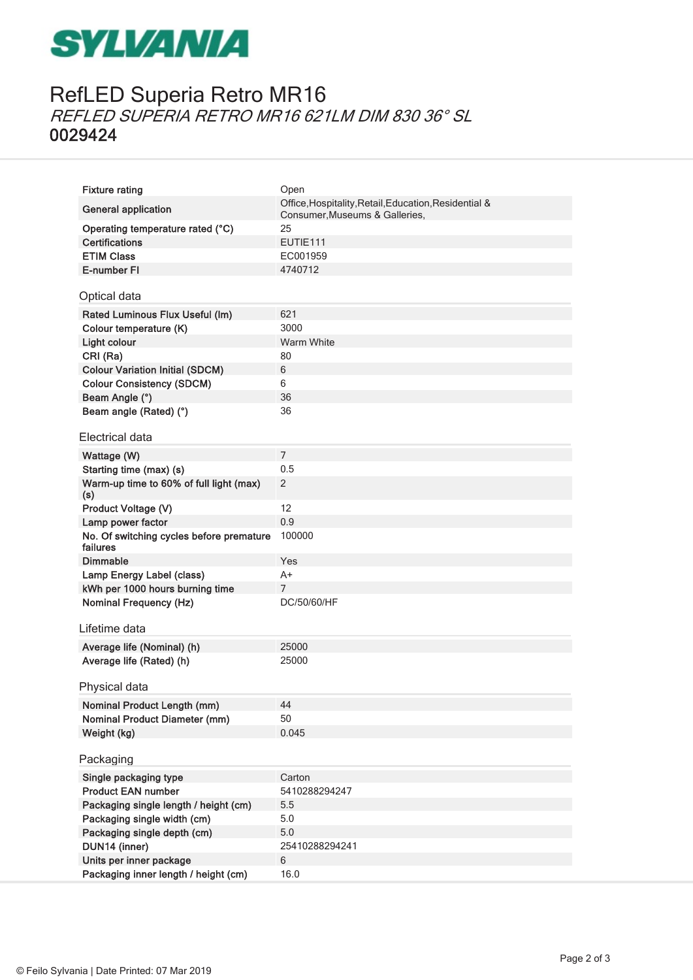## **SYLVANIA**

## RefLED Superia Retro MR16 REFLED SUPERIA RETRO MR16 621LM DIM 830 36° SL 0029424

| <b>Fixture rating</b>                                | Open                                                                                    |
|------------------------------------------------------|-----------------------------------------------------------------------------------------|
| <b>General application</b>                           | Office, Hospitality, Retail, Education, Residential &<br>Consumer, Museums & Galleries, |
| Operating temperature rated (°C)                     | 25                                                                                      |
| <b>Certifications</b>                                | EUTIE111                                                                                |
| <b>ETIM Class</b>                                    | EC001959                                                                                |
| E-number FI                                          | 4740712                                                                                 |
| Optical data                                         |                                                                                         |
| Rated Luminous Flux Useful (Im)                      | 621                                                                                     |
| Colour temperature (K)                               | 3000                                                                                    |
| Light colour                                         | Warm White                                                                              |
| CRI (Ra)                                             | 80                                                                                      |
| <b>Colour Variation Initial (SDCM)</b>               | 6                                                                                       |
| <b>Colour Consistency (SDCM)</b>                     | 6                                                                                       |
| Beam Angle (°)                                       | 36                                                                                      |
| Beam angle (Rated) (°)                               | 36                                                                                      |
| Electrical data                                      |                                                                                         |
| Wattage (W)                                          | $\overline{7}$                                                                          |
| Starting time (max) (s)                              | 0.5                                                                                     |
| Warm-up time to 60% of full light (max)              | 2                                                                                       |
| (s)                                                  |                                                                                         |
| Product Voltage (V)                                  | 12                                                                                      |
| Lamp power factor                                    | 0.9                                                                                     |
| No. Of switching cycles before premature<br>failures | 100000                                                                                  |
| <b>Dimmable</b>                                      | Yes                                                                                     |
| Lamp Energy Label (class)                            | $A+$                                                                                    |
| kWh per 1000 hours burning time                      | $\overline{7}$                                                                          |
| <b>Nominal Frequency (Hz)</b>                        | DC/50/60/HF                                                                             |
| Lifetime data                                        |                                                                                         |
| Average life (Nominal) (h)                           | 25000                                                                                   |
| Average life (Rated) (h)                             | 25000                                                                                   |
|                                                      |                                                                                         |
| Physical data                                        |                                                                                         |
| <b>Nominal Product Length (mm)</b>                   | 44                                                                                      |
| <b>Nominal Product Diameter (mm)</b>                 | 50                                                                                      |
| Weight (kg)                                          | 0.045                                                                                   |
| Packaging                                            |                                                                                         |
| Single packaging type                                | Carton                                                                                  |
| <b>Product EAN number</b>                            | 5410288294247                                                                           |
| Packaging single length / height (cm)                | 5.5                                                                                     |
| Packaging single width (cm)                          | 5.0                                                                                     |
| Packaging single depth (cm)                          | 5.0                                                                                     |
| DUN14 (inner)                                        | 25410288294241                                                                          |
| Units per inner package                              | 6                                                                                       |
| Packaging inner length / height (cm)                 | 16.0                                                                                    |